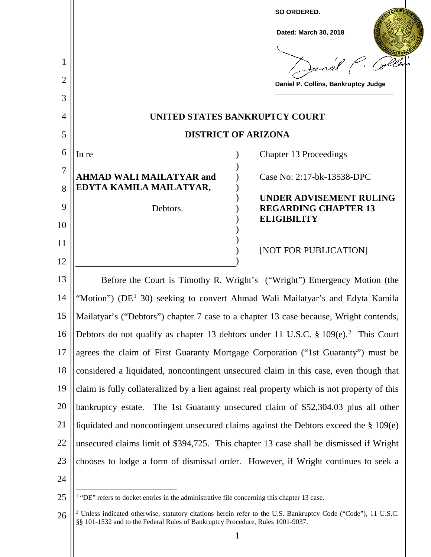

<sup>26</sup> <sup>2</sup> Unless indicated otherwise, statutory citations herein refer to the U.S. Bankruptcy Code ("Code"), 11 U.S.C. §§ 101-1532 and to the Federal Rules of Bankruptcy Procedure, Rules 1001-9037.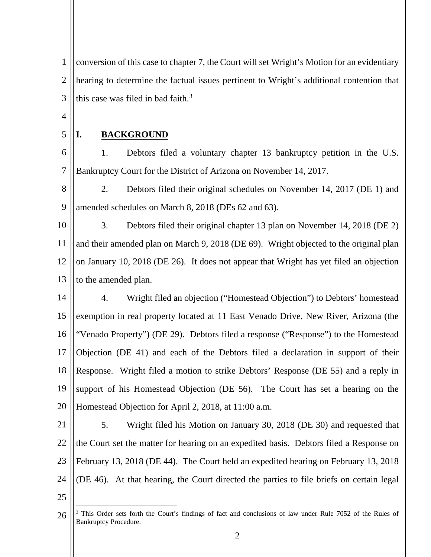1  $\mathcal{L}$ 3 conversion of this case to chapter 7, the Court will set Wright's Motion for an evidentiary hearing to determine the factual issues pertinent to Wright's additional contention that this case was filed in bad faith. $3$ 

4

5

# **I. BACKGROUND**

6 7 1. Debtors filed a voluntary chapter 13 bankruptcy petition in the U.S. Bankruptcy Court for the District of Arizona on November 14, 2017.

8 9 2. Debtors filed their original schedules on November 14, 2017 (DE 1) and amended schedules on March 8, 2018 (DEs 62 and 63).

10 11 12 13 3. Debtors filed their original chapter 13 plan on November 14, 2018 (DE 2) and their amended plan on March 9, 2018 (DE 69). Wright objected to the original plan on January 10, 2018 (DE 26). It does not appear that Wright has yet filed an objection to the amended plan.

14 15 16 17 18 19 20 4. Wright filed an objection ("Homestead Objection") to Debtors' homestead exemption in real property located at 11 East Venado Drive, New River, Arizona (the "Venado Property") (DE 29). Debtors filed a response ("Response") to the Homestead Objection (DE 41) and each of the Debtors filed a declaration in support of their Response. Wright filed a motion to strike Debtors' Response (DE 55) and a reply in support of his Homestead Objection (DE 56). The Court has set a hearing on the Homestead Objection for April 2, 2018, at 11:00 a.m.

21 22 23 24 5. Wright filed his Motion on January 30, 2018 (DE 30) and requested that the Court set the matter for hearing on an expedited basis. Debtors filed a Response on February 13, 2018 (DE 44). The Court held an expedited hearing on February 13, 2018 (DE 46). At that hearing, the Court directed the parties to file briefs on certain legal

25

<sup>26</sup> <sup>3</sup> This Order sets forth the Court's findings of fact and conclusions of law under Rule 7052 of the Rules of Bankruptcy Procedure.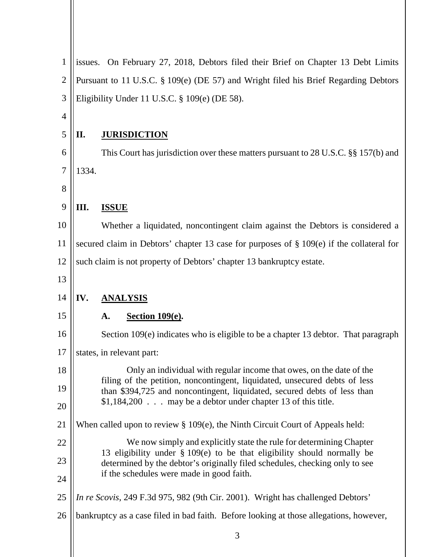| 1              | issues. On February 27, 2018, Debtors filed their Brief on Chapter 13 Debt Limits           |                                                                                                                                                           |  |
|----------------|---------------------------------------------------------------------------------------------|-----------------------------------------------------------------------------------------------------------------------------------------------------------|--|
| $\overline{2}$ | Pursuant to 11 U.S.C. § 109(e) (DE 57) and Wright filed his Brief Regarding Debtors         |                                                                                                                                                           |  |
| 3              | Eligibility Under 11 U.S.C. § 109(e) (DE 58).                                               |                                                                                                                                                           |  |
| $\overline{4}$ |                                                                                             |                                                                                                                                                           |  |
| 5              | П.                                                                                          | <b>JURISDICTION</b>                                                                                                                                       |  |
| 6              |                                                                                             | This Court has jurisdiction over these matters pursuant to 28 U.S.C. §§ 157(b) and                                                                        |  |
| $\overline{7}$ | 1334.                                                                                       |                                                                                                                                                           |  |
| 8              |                                                                                             |                                                                                                                                                           |  |
| 9              | Ш.                                                                                          | <b>ISSUE</b>                                                                                                                                              |  |
| 10             |                                                                                             | Whether a liquidated, noncontingent claim against the Debtors is considered a                                                                             |  |
| 11             | secured claim in Debtors' chapter 13 case for purposes of $\S 109(e)$ if the collateral for |                                                                                                                                                           |  |
| 12             | such claim is not property of Debtors' chapter 13 bankruptcy estate.                        |                                                                                                                                                           |  |
| 13             |                                                                                             |                                                                                                                                                           |  |
| 14             | IV.                                                                                         | <b>ANALYSIS</b>                                                                                                                                           |  |
| 15             |                                                                                             | <b>Section 109(e).</b><br>A.                                                                                                                              |  |
| 16             |                                                                                             |                                                                                                                                                           |  |
|                |                                                                                             | Section 109(e) indicates who is eligible to be a chapter 13 debtor. That paragraph                                                                        |  |
| 17             |                                                                                             | states, in relevant part:                                                                                                                                 |  |
| 18             |                                                                                             | Only an individual with regular income that owes, on the date of the                                                                                      |  |
| 19             |                                                                                             | filing of the petition, noncontingent, liquidated, unsecured debts of less<br>than \$394,725 and noncontingent, liquidated, secured debts of less than    |  |
| 20             |                                                                                             | \$1,184,200 may be a debtor under chapter 13 of this title.                                                                                               |  |
|                |                                                                                             | When called upon to review $\S 109(e)$ , the Ninth Circuit Court of Appeals held:                                                                         |  |
| 22             |                                                                                             | We now simply and explicitly state the rule for determining Chapter                                                                                       |  |
| 21<br>23       |                                                                                             | 13 eligibility under $\S$ 109(e) to be that eligibility should normally be<br>determined by the debtor's originally filed schedules, checking only to see |  |
| 24             |                                                                                             | if the schedules were made in good faith.                                                                                                                 |  |
| 25             |                                                                                             | In re Scovis, 249 F.3d 975, 982 (9th Cir. 2001). Wright has challenged Debtors'                                                                           |  |
| 26             |                                                                                             | bankruptcy as a case filed in bad faith. Before looking at those allegations, however,                                                                    |  |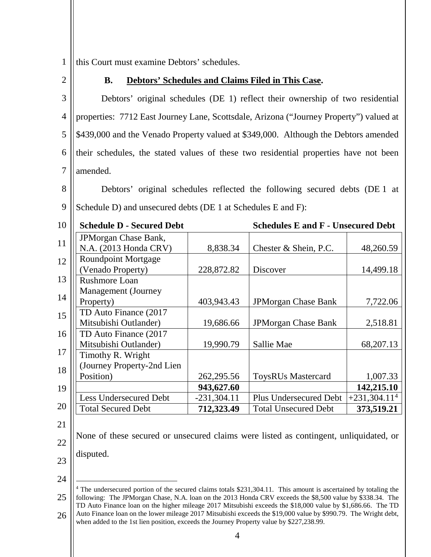1 this Court must examine Debtors' schedules.

2

# **B. Debtors' Schedules and Claims Filed in This Case.**

3 4 5 6 7 Debtors' original schedules (DE 1) reflect their ownership of two residential properties: 7712 East Journey Lane, Scottsdale, Arizona ("Journey Property") valued at \$439,000 and the Venado Property valued at \$349,000. Although the Debtors amended their schedules, the stated values of these two residential properties have not been amended.

8

9 Debtors' original schedules reflected the following secured debts (DE 1 at Schedule D) and unsecured debts (DE 1 at Schedules E and F):

| 10 | <b>Schedule D - Secured Debt</b>                |               | <b>Schedules E and F - Unsecured Debt</b> |                |
|----|-------------------------------------------------|---------------|-------------------------------------------|----------------|
| 11 | JPMorgan Chase Bank,<br>N.A. (2013 Honda CRV)   | 8,838.34      | Chester & Shein, P.C.                     | 48,260.59      |
| 12 | <b>Roundpoint Mortgage</b><br>(Venado Property) | 228,872.82    | <b>Discover</b>                           | 14,499.18      |
| 13 | <b>Rushmore Loan</b>                            |               |                                           |                |
| 14 | Management (Journey<br>Property)                | 403,943.43    | <b>JPMorgan Chase Bank</b>                | 7,722.06       |
| 15 | TD Auto Finance (2017<br>Mitsubishi Outlander)  | 19,686.66     | <b>JPMorgan Chase Bank</b>                | 2,518.81       |
| 16 | TD Auto Finance (2017                           |               |                                           |                |
| 17 | Mitsubishi Outlander)<br>Timothy R. Wright      | 19,990.79     | Sallie Mae                                | 68,207.13      |
| 18 | (Journey Property-2nd Lien<br>Position)         | 262, 295.56   | <b>ToysRUs Mastercard</b>                 | 1,007.33       |
| 19 |                                                 | 943,627.60    |                                           | 142,215.10     |
|    | Less Undersecured Debt                          | $-231,304.11$ | <b>Plus Undersecured Debt</b>             | $+231,304.114$ |
| 20 | <b>Total Secured Debt</b>                       | 712,323.49    | <b>Total Unsecured Debt</b>               | 373,519.21     |
|    |                                                 |               |                                           |                |

21

22 None of these secured or unsecured claims were listed as contingent, unliquidated, or disputed.

- 23
- 24

<sup>25</sup> 26 <sup>4</sup> The undersecured portion of the secured claims totals \$231,304.11. This amount is ascertained by totaling the following: The JPMorgan Chase, N.A. loan on the 2013 Honda CRV exceeds the \$8,500 value by \$338.34. The TD Auto Finance loan on the higher mileage 2017 Mitsubishi exceeds the \$18,000 value by \$1,686.66. The TD Auto Finance loan on the lower mileage 2017 Mitsubishi exceeds the \$19,000 value by \$990.79. The Wright debt, when added to the 1st lien position, exceeds the Journey Property value by \$227,238.99.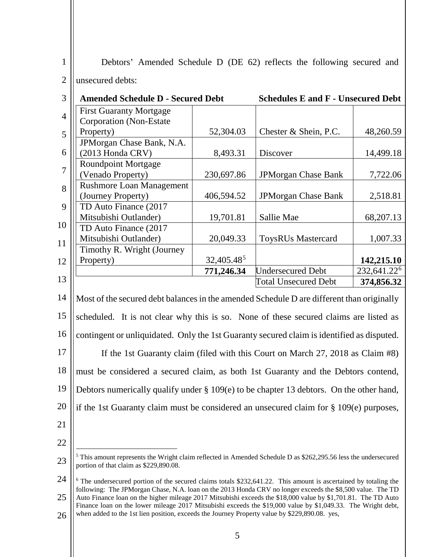| 1              |                                                                  |            | Debtors' Amended Schedule D (DE 62) reflects the following secured and |             |
|----------------|------------------------------------------------------------------|------------|------------------------------------------------------------------------|-------------|
| $\overline{2}$ | unsecured debts:                                                 |            |                                                                        |             |
| 3              | <b>Amended Schedule D - Secured Debt</b>                         |            | <b>Schedules E and F - Unsecured Debt</b>                              |             |
| $\overline{4}$ | <b>First Guaranty Mortgage</b><br><b>Corporation</b> (Non-Estate |            |                                                                        |             |
| 5              | Property)                                                        | 52,304.03  | Chester & Shein, P.C.                                                  | 48,260.59   |
|                | JPMorgan Chase Bank, N.A.                                        |            |                                                                        |             |
| 6              | (2013 Honda CRV)                                                 | 8,493.31   | Discover                                                               | 14,499.18   |
|                | <b>Roundpoint Mortgage</b>                                       |            |                                                                        |             |
| 7              | (Venado Property)                                                | 230,697.86 | <b>JPMorgan Chase Bank</b>                                             | 7,722.06    |
| 8              | <b>Rushmore Loan Management</b>                                  |            |                                                                        |             |
|                | (Journey Property)                                               | 406,594.52 | <b>JPMorgan Chase Bank</b>                                             | 2,518.81    |
| 9              | TD Auto Finance (2017                                            |            |                                                                        |             |
|                | Mitsubishi Outlander)                                            | 19,701.81  | Sallie Mae                                                             | 68, 207. 13 |
| 10             | TD Auto Finance (2017                                            |            |                                                                        |             |
| 11             | Mitsubishi Outlander)                                            | 20,049.33  | <b>ToysRUs Mastercard</b>                                              | 1,007.33    |
|                |                                                                  |            |                                                                        |             |

|    |                                                                                            | 771,246.34 | <b>Undersecured Debt</b>                                                        | $232,641.22^6$ |
|----|--------------------------------------------------------------------------------------------|------------|---------------------------------------------------------------------------------|----------------|
| 13 |                                                                                            |            | <b>Total Unsecured Debt</b>                                                     | 374,856.32     |
| 14 | Most of the secured debt balances in the amended Schedule D are different than originally  |            |                                                                                 |                |
| 15 | scheduled. It is not clear why this is so. None of these secured claims are listed as      |            |                                                                                 |                |
| 16 | contingent or unliquidated. Only the 1st Guaranty secured claim is identified as disputed. |            |                                                                                 |                |
| 17 |                                                                                            |            | If the 1st Guaranty claim (filed with this Court on March 27, 2018 as Claim #8) |                |
| 18 | must be considered a secured claim, as both 1st Guaranty and the Debtors contend,          |            |                                                                                 |                |
| 19 | Debtors numerically qualify under § 109(e) to be chapter 13 debtors. On the other hand,    |            |                                                                                 |                |

Property) 32,405.485 **142,215.10**

20 21

 $12$  || Property)

Timothy R. Wright (Journey

- 
- 22

23

if the 1st Guaranty claim must be considered an unsecured claim for § 109(e) purposes,

 <sup>5</sup> This amount represents the Wright claim reflected in Amended Schedule D as \$262,295.56 less the undersecured portion of that claim as \$229,890.08.

<sup>24</sup> 25 26 <sup>6</sup> The undersecured portion of the secured claims totals \$232,641.22. This amount is ascertained by totaling the following: The JPMorgan Chase, N.A. loan on the 2013 Honda CRV no longer exceeds the \$8,500 value. The TD Auto Finance loan on the higher mileage 2017 Mitsubishi exceeds the \$18,000 value by \$1,701.81. The TD Auto Finance loan on the lower mileage 2017 Mitsubishi exceeds the \$19,000 value by \$1,049.33. The Wright debt, when added to the 1st lien position, exceeds the Journey Property value by \$229,890.08. yes,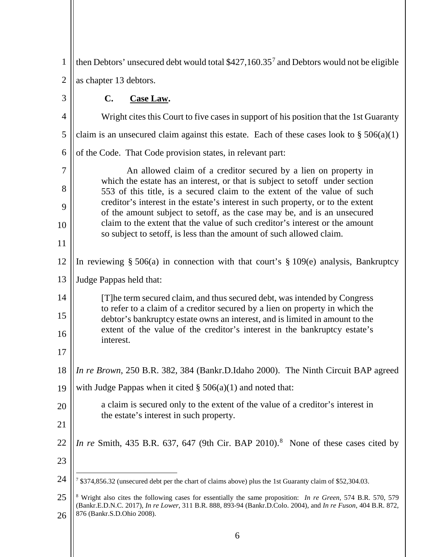| $\mathbf{1}$   | then Debtors' unsecured debt would total \$427,160.35 <sup>7</sup> and Debtors would not be eligible                                                                                                                                                                           |  |
|----------------|--------------------------------------------------------------------------------------------------------------------------------------------------------------------------------------------------------------------------------------------------------------------------------|--|
| $\overline{2}$ | as chapter 13 debtors.                                                                                                                                                                                                                                                         |  |
| 3              | $\mathbf{C}$ .<br>Case Law.                                                                                                                                                                                                                                                    |  |
| 4              | Wright cites this Court to five cases in support of his position that the 1st Guaranty                                                                                                                                                                                         |  |
| 5              | claim is an unsecured claim against this estate. Each of these cases look to $\S 506(a)(1)$                                                                                                                                                                                    |  |
| 6              | of the Code. That Code provision states, in relevant part:                                                                                                                                                                                                                     |  |
| 7<br>8         | An allowed claim of a creditor secured by a lien on property in<br>which the estate has an interest, or that is subject to set off under section                                                                                                                               |  |
| 9              | 553 of this title, is a secured claim to the extent of the value of such<br>creditor's interest in the estate's interest in such property, or to the extent                                                                                                                    |  |
|                | of the amount subject to setoff, as the case may be, and is an unsecured<br>claim to the extent that the value of such creditor's interest or the amount                                                                                                                       |  |
| 10<br>11       | so subject to set off, is less than the amount of such allowed claim.                                                                                                                                                                                                          |  |
|                |                                                                                                                                                                                                                                                                                |  |
| 12             | In reviewing $\S 506(a)$ in connection with that court's $\S 109(e)$ analysis, Bankruptcy                                                                                                                                                                                      |  |
| 13             | Judge Pappas held that:                                                                                                                                                                                                                                                        |  |
| 14<br>15       | [T] he term secured claim, and thus secured debt, was intended by Congress<br>to refer to a claim of a creditor secured by a lien on property in which the<br>debtor's bankruptcy estate owns an interest, and is limited in amount to the                                     |  |
| 16             | extent of the value of the creditor's interest in the bankruptcy estate's<br>interest.                                                                                                                                                                                         |  |
| 17             |                                                                                                                                                                                                                                                                                |  |
| 18             | In re Brown, 250 B.R. 382, 384 (Bankr.D.Idaho 2000). The Ninth Circuit BAP agreed                                                                                                                                                                                              |  |
| 19             | with Judge Pappas when it cited $\S$ 506(a)(1) and noted that:                                                                                                                                                                                                                 |  |
| 20             | a claim is secured only to the extent of the value of a creditor's interest in                                                                                                                                                                                                 |  |
| 21             | the estate's interest in such property.                                                                                                                                                                                                                                        |  |
| 22             | In re Smith, 435 B.R. 637, 647 (9th Cir. BAP 2010). <sup>8</sup> None of these cases cited by                                                                                                                                                                                  |  |
| 23             |                                                                                                                                                                                                                                                                                |  |
| 24             | 7 \$374,856.32 (unsecured debt per the chart of claims above) plus the 1st Guaranty claim of \$52,304.03.                                                                                                                                                                      |  |
| 25<br>26       | <sup>8</sup> Wright also cites the following cases for essentially the same proposition: <i>In re Green</i> , 574 B.R. 570, 579<br>(Bankr.E.D.N.C. 2017), In re Lower, 311 B.R. 888, 893-94 (Bankr.D.Colo. 2004), and In re Fuson, 404 B.R. 872,<br>876 (Bankr.S.D.Ohio 2008). |  |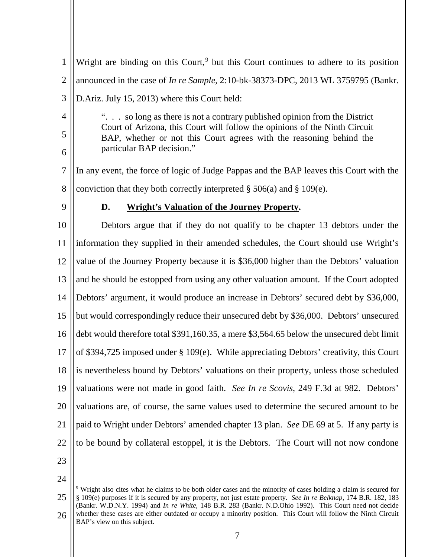1  $\mathfrak{D}$ 3 4 5 6 7 8 9 10 11 12 13 14 15 16 17 18 19 20 21 22 23 Wright are binding on this Court,<sup>9</sup> but this Court continues to adhere to its position announced in the case of *In re Sample*, 2:10-bk-38373-DPC, 2013 WL 3759795 (Bankr. D.Ariz. July 15, 2013) where this Court held: ". . . so long as there is not a contrary published opinion from the District Court of Arizona, this Court will follow the opinions of the Ninth Circuit BAP, whether or not this Court agrees with the reasoning behind the particular BAP decision." In any event, the force of logic of Judge Pappas and the BAP leaves this Court with the conviction that they both correctly interpreted  $\S 506(a)$  and  $\S 109(e)$ . **D. Wright's Valuation of the Journey Property.** Debtors argue that if they do not qualify to be chapter 13 debtors under the information they supplied in their amended schedules, the Court should use Wright's value of the Journey Property because it is \$36,000 higher than the Debtors' valuation and he should be estopped from using any other valuation amount. If the Court adopted Debtors' argument, it would produce an increase in Debtors' secured debt by \$36,000, but would correspondingly reduce their unsecured debt by \$36,000. Debtors' unsecured debt would therefore total \$391,160.35, a mere \$3,564.65 below the unsecured debt limit of \$394,725 imposed under § 109(e). While appreciating Debtors' creativity, this Court is nevertheless bound by Debtors' valuations on their property, unless those scheduled valuations were not made in good faith. *See In re Scovis*, 249 F.3d at 982. Debtors' valuations are, of course, the same values used to determine the secured amount to be paid to Wright under Debtors' amended chapter 13 plan. *See* DE 69 at 5. If any party is to be bound by collateral estoppel, it is the Debtors. The Court will not now condone

24

<sup>25</sup> 26 9 Wright also cites what he claims to be both older cases and the minority of cases holding a claim is secured for § 109(e) purposes if it is secured by any property, not just estate property. *See In re Belknap*, 174 B.R. 182, 183 (Bankr. W.D.N.Y. 1994) and *In re White*, 148 B.R. 283 (Bankr. N.D.Ohio 1992). This Court need not decide whether these cases are either outdated or occupy a minority position. This Court will follow the Ninth Circuit BAP's view on this subject.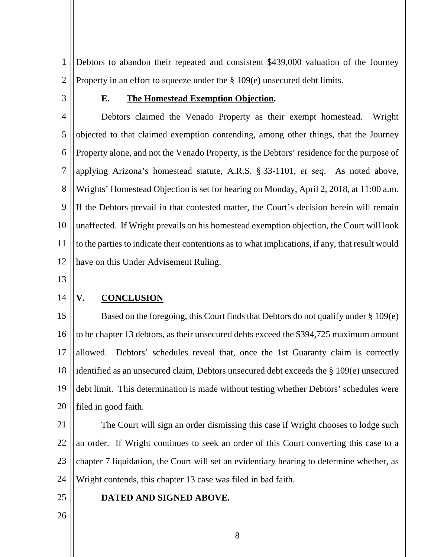1  $\mathcal{L}$ Debtors to abandon their repeated and consistent \$439,000 valuation of the Journey Property in an effort to squeeze under the § 109(e) unsecured debt limits.

3

### **E. The Homestead Exemption Objection.**

4 5 6 7 8 9 10 11 12 Debtors claimed the Venado Property as their exempt homestead. Wright objected to that claimed exemption contending, among other things, that the Journey Property alone, and not the Venado Property, is the Debtors' residence for the purpose of applying Arizona's homestead statute, A.R.S. § 33-1101, *et seq*. As noted above, Wrights' Homestead Objection is set for hearing on Monday, April 2, 2018, at 11:00 a.m. If the Debtors prevail in that contested matter, the Court's decision herein will remain unaffected. If Wright prevails on his homestead exemption objection, the Court will look to the parties to indicate their contentions as to what implications, if any, that result would have on this Under Advisement Ruling.

13

#### 14

# **V. CONCLUSION**

15 16 17 18 19 20 Based on the foregoing, this Court finds that Debtors do not qualify under § 109(e) to be chapter 13 debtors, as their unsecured debts exceed the \$394,725 maximum amount allowed. Debtors' schedules reveal that, once the 1st Guaranty claim is correctly identified as an unsecured claim, Debtors unsecured debt exceeds the § 109(e) unsecured debt limit. This determination is made without testing whether Debtors' schedules were filed in good faith.

21

22 23 24 The Court will sign an order dismissing this case if Wright chooses to lodge such an order. If Wright continues to seek an order of this Court converting this case to a chapter 7 liquidation, the Court will set an evidentiary hearing to determine whether, as Wright contends, this chapter 13 case was filed in bad faith.

25

## **DATED AND SIGNED ABOVE.**

26